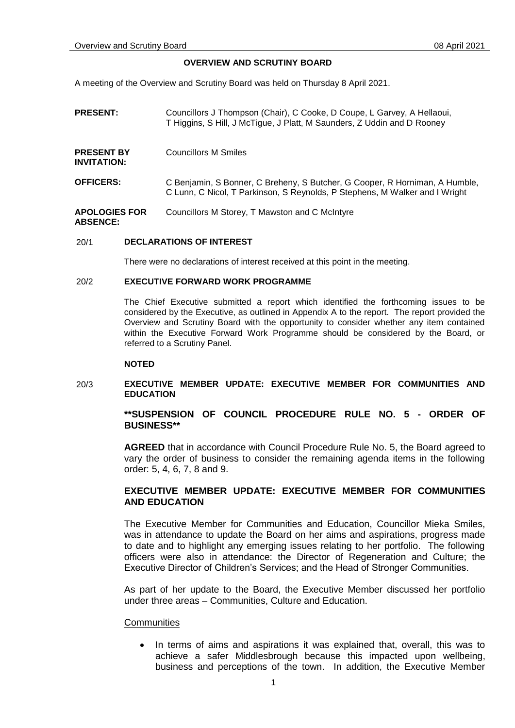# **OVERVIEW AND SCRUTINY BOARD**

A meeting of the Overview and Scrutiny Board was held on Thursday 8 April 2021.

| <b>PRESENT:</b>                         | Councillors J Thompson (Chair), C Cooke, D Coupe, L Garvey, A Hellaoui,<br>T Higgins, S Hill, J McTigue, J Platt, M Saunders, Z Uddin and D Rooney         |
|-----------------------------------------|------------------------------------------------------------------------------------------------------------------------------------------------------------|
| <b>PRESENT BY</b><br>INVITATION:        | Councillors M Smiles                                                                                                                                       |
| <b>OFFICERS:</b>                        | C Benjamin, S Bonner, C Breheny, S Butcher, G Cooper, R Horniman, A Humble,<br>C Lunn, C Nicol, T Parkinson, S Reynolds, P Stephens, M Walker and I Wright |
| <b>APOLOGIES FOR</b><br><b>ABSENCE:</b> | Councillors M Storey, T Mawston and C McIntyre                                                                                                             |

# 20/1 **DECLARATIONS OF INTEREST**

There were no declarations of interest received at this point in the meeting.

#### 20/2 **EXECUTIVE FORWARD WORK PROGRAMME**

The Chief Executive submitted a report which identified the forthcoming issues to be considered by the Executive, as outlined in Appendix A to the report. The report provided the Overview and Scrutiny Board with the opportunity to consider whether any item contained within the Executive Forward Work Programme should be considered by the Board, or referred to a Scrutiny Panel.

### **NOTED**

## 20/3 **EXECUTIVE MEMBER UPDATE: EXECUTIVE MEMBER FOR COMMUNITIES AND EDUCATION**

# **\*\*SUSPENSION OF COUNCIL PROCEDURE RULE NO. 5 - ORDER OF BUSINESS\*\***

**AGREED** that in accordance with Council Procedure Rule No. 5, the Board agreed to vary the order of business to consider the remaining agenda items in the following order: 5, 4, 6, 7, 8 and 9.

# **EXECUTIVE MEMBER UPDATE: EXECUTIVE MEMBER FOR COMMUNITIES AND EDUCATION**

The Executive Member for Communities and Education, Councillor Mieka Smiles, was in attendance to update the Board on her aims and aspirations, progress made to date and to highlight any emerging issues relating to her portfolio. The following officers were also in attendance: the Director of Regeneration and Culture; the Executive Director of Children's Services; and the Head of Stronger Communities.

As part of her update to the Board, the Executive Member discussed her portfolio under three areas – Communities, Culture and Education.

# **Communities**

 In terms of aims and aspirations it was explained that, overall, this was to achieve a safer Middlesbrough because this impacted upon wellbeing, business and perceptions of the town. In addition, the Executive Member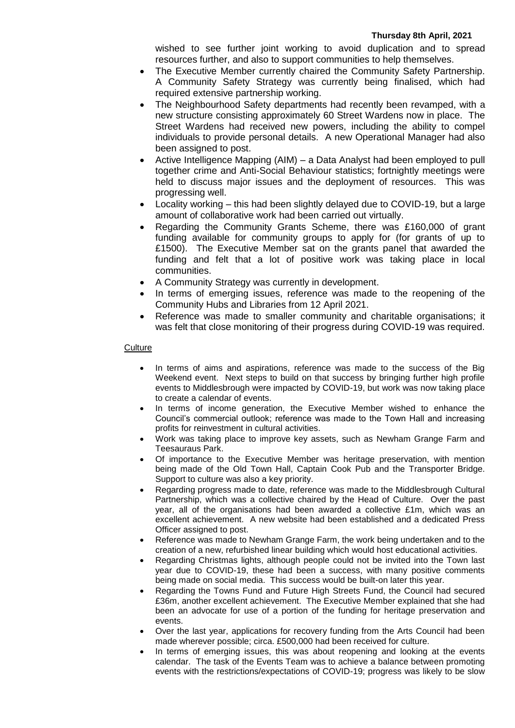wished to see further joint working to avoid duplication and to spread resources further, and also to support communities to help themselves.

- The Executive Member currently chaired the Community Safety Partnership. A Community Safety Strategy was currently being finalised, which had required extensive partnership working.
- The Neighbourhood Safety departments had recently been revamped, with a new structure consisting approximately 60 Street Wardens now in place. The Street Wardens had received new powers, including the ability to compel individuals to provide personal details. A new Operational Manager had also been assigned to post.
- Active Intelligence Mapping (AIM) a Data Analyst had been employed to pull together crime and Anti-Social Behaviour statistics; fortnightly meetings were held to discuss major issues and the deployment of resources. This was progressing well.
- Locality working this had been slightly delayed due to COVID-19, but a large amount of collaborative work had been carried out virtually.
- Regarding the Community Grants Scheme, there was £160,000 of grant funding available for community groups to apply for (for grants of up to £1500). The Executive Member sat on the grants panel that awarded the funding and felt that a lot of positive work was taking place in local communities.
- A Community Strategy was currently in development.
- In terms of emerging issues, reference was made to the reopening of the Community Hubs and Libraries from 12 April 2021.
- Reference was made to smaller community and charitable organisations; it was felt that close monitoring of their progress during COVID-19 was required.

# **Culture**

- In terms of aims and aspirations, reference was made to the success of the Big Weekend event. Next steps to build on that success by bringing further high profile events to Middlesbrough were impacted by COVID-19, but work was now taking place to create a calendar of events.
- In terms of income generation, the Executive Member wished to enhance the Council's commercial outlook; reference was made to the Town Hall and increasing profits for reinvestment in cultural activities.
- Work was taking place to improve key assets, such as Newham Grange Farm and Teesauraus Park.
- Of importance to the Executive Member was heritage preservation, with mention being made of the Old Town Hall, Captain Cook Pub and the Transporter Bridge. Support to culture was also a key priority.
- Regarding progress made to date, reference was made to the Middlesbrough Cultural Partnership, which was a collective chaired by the Head of Culture. Over the past year, all of the organisations had been awarded a collective £1m, which was an excellent achievement. A new website had been established and a dedicated Press Officer assigned to post.
- Reference was made to Newham Grange Farm, the work being undertaken and to the creation of a new, refurbished linear building which would host educational activities.
- Regarding Christmas lights, although people could not be invited into the Town last year due to COVID-19, these had been a success, with many positive comments being made on social media. This success would be built-on later this year.
- Regarding the Towns Fund and Future High Streets Fund, the Council had secured £36m, another excellent achievement. The Executive Member explained that she had been an advocate for use of a portion of the funding for heritage preservation and events.
- Over the last year, applications for recovery funding from the Arts Council had been made wherever possible; circa. £500,000 had been received for culture.
- In terms of emerging issues, this was about reopening and looking at the events calendar. The task of the Events Team was to achieve a balance between promoting events with the restrictions/expectations of COVID-19; progress was likely to be slow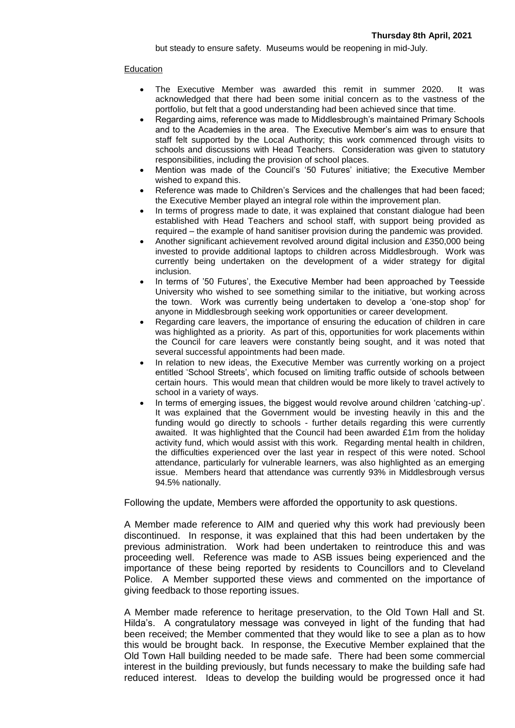but steady to ensure safety. Museums would be reopening in mid-July.

# Education

- The Executive Member was awarded this remit in summer 2020. It was acknowledged that there had been some initial concern as to the vastness of the portfolio, but felt that a good understanding had been achieved since that time.
- Regarding aims, reference was made to Middlesbrough's maintained Primary Schools and to the Academies in the area. The Executive Member's aim was to ensure that staff felt supported by the Local Authority; this work commenced through visits to schools and discussions with Head Teachers. Consideration was given to statutory responsibilities, including the provision of school places.
- Mention was made of the Council's '50 Futures' initiative; the Executive Member wished to expand this.
- Reference was made to Children's Services and the challenges that had been faced; the Executive Member played an integral role within the improvement plan.
- In terms of progress made to date, it was explained that constant dialogue had been established with Head Teachers and school staff, with support being provided as required – the example of hand sanitiser provision during the pandemic was provided.
- Another significant achievement revolved around digital inclusion and £350,000 being invested to provide additional laptops to children across Middlesbrough. Work was currently being undertaken on the development of a wider strategy for digital inclusion.
- In terms of '50 Futures', the Executive Member had been approached by Teesside University who wished to see something similar to the initiative, but working across the town. Work was currently being undertaken to develop a 'one-stop shop' for anyone in Middlesbrough seeking work opportunities or career development.
- Regarding care leavers, the importance of ensuring the education of children in care was highlighted as a priority. As part of this, opportunities for work placements within the Council for care leavers were constantly being sought, and it was noted that several successful appointments had been made.
- In relation to new ideas, the Executive Member was currently working on a project entitled 'School Streets', which focused on limiting traffic outside of schools between certain hours. This would mean that children would be more likely to travel actively to school in a variety of ways.
- In terms of emerging issues, the biggest would revolve around children 'catching-up'. It was explained that the Government would be investing heavily in this and the funding would go directly to schools - further details regarding this were currently awaited. It was highlighted that the Council had been awarded  $£1m$  from the holiday activity fund, which would assist with this work. Regarding mental health in children, the difficulties experienced over the last year in respect of this were noted. School attendance, particularly for vulnerable learners, was also highlighted as an emerging issue. Members heard that attendance was currently 93% in Middlesbrough versus 94.5% nationally.

Following the update, Members were afforded the opportunity to ask questions.

A Member made reference to AIM and queried why this work had previously been discontinued. In response, it was explained that this had been undertaken by the previous administration. Work had been undertaken to reintroduce this and was proceeding well. Reference was made to ASB issues being experienced and the importance of these being reported by residents to Councillors and to Cleveland Police. A Member supported these views and commented on the importance of giving feedback to those reporting issues.

A Member made reference to heritage preservation, to the Old Town Hall and St. Hilda's. A congratulatory message was conveyed in light of the funding that had been received; the Member commented that they would like to see a plan as to how this would be brought back. In response, the Executive Member explained that the Old Town Hall building needed to be made safe. There had been some commercial interest in the building previously, but funds necessary to make the building safe had reduced interest. Ideas to develop the building would be progressed once it had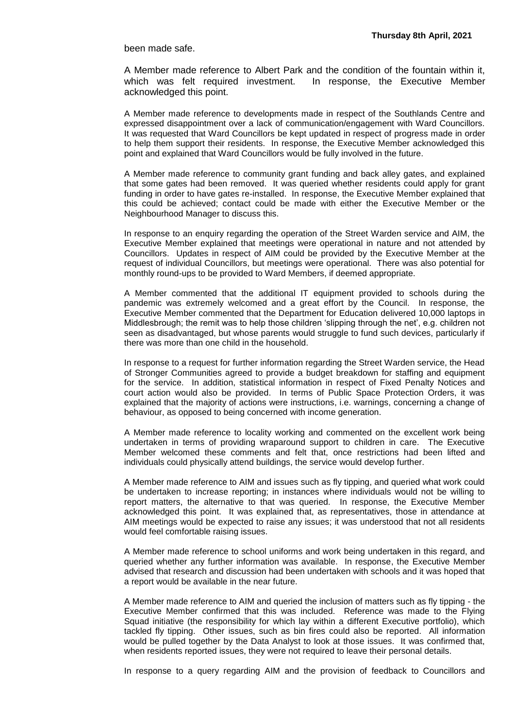been made safe.

A Member made reference to Albert Park and the condition of the fountain within it, which was felt required investment. In response, the Executive Member acknowledged this point.

A Member made reference to developments made in respect of the Southlands Centre and expressed disappointment over a lack of communication/engagement with Ward Councillors. It was requested that Ward Councillors be kept updated in respect of progress made in order to help them support their residents. In response, the Executive Member acknowledged this point and explained that Ward Councillors would be fully involved in the future.

A Member made reference to community grant funding and back alley gates, and explained that some gates had been removed. It was queried whether residents could apply for grant funding in order to have gates re-installed. In response, the Executive Member explained that this could be achieved; contact could be made with either the Executive Member or the Neighbourhood Manager to discuss this.

In response to an enquiry regarding the operation of the Street Warden service and AIM, the Executive Member explained that meetings were operational in nature and not attended by Councillors. Updates in respect of AIM could be provided by the Executive Member at the request of individual Councillors, but meetings were operational. There was also potential for monthly round-ups to be provided to Ward Members, if deemed appropriate.

A Member commented that the additional IT equipment provided to schools during the pandemic was extremely welcomed and a great effort by the Council. In response, the Executive Member commented that the Department for Education delivered 10,000 laptops in Middlesbrough; the remit was to help those children 'slipping through the net', e.g. children not seen as disadvantaged, but whose parents would struggle to fund such devices, particularly if there was more than one child in the household.

In response to a request for further information regarding the Street Warden service, the Head of Stronger Communities agreed to provide a budget breakdown for staffing and equipment for the service. In addition, statistical information in respect of Fixed Penalty Notices and court action would also be provided. In terms of Public Space Protection Orders, it was explained that the majority of actions were instructions, i.e. warnings, concerning a change of behaviour, as opposed to being concerned with income generation.

A Member made reference to locality working and commented on the excellent work being undertaken in terms of providing wraparound support to children in care. The Executive Member welcomed these comments and felt that, once restrictions had been lifted and individuals could physically attend buildings, the service would develop further.

A Member made reference to AIM and issues such as fly tipping, and queried what work could be undertaken to increase reporting; in instances where individuals would not be willing to report matters, the alternative to that was queried. In response, the Executive Member acknowledged this point. It was explained that, as representatives, those in attendance at AIM meetings would be expected to raise any issues; it was understood that not all residents would feel comfortable raising issues.

A Member made reference to school uniforms and work being undertaken in this regard, and queried whether any further information was available. In response, the Executive Member advised that research and discussion had been undertaken with schools and it was hoped that a report would be available in the near future.

A Member made reference to AIM and queried the inclusion of matters such as fly tipping - the Executive Member confirmed that this was included. Reference was made to the Flying Squad initiative (the responsibility for which lay within a different Executive portfolio), which tackled fly tipping. Other issues, such as bin fires could also be reported. All information would be pulled together by the Data Analyst to look at those issues. It was confirmed that, when residents reported issues, they were not required to leave their personal details.

In response to a query regarding AIM and the provision of feedback to Councillors and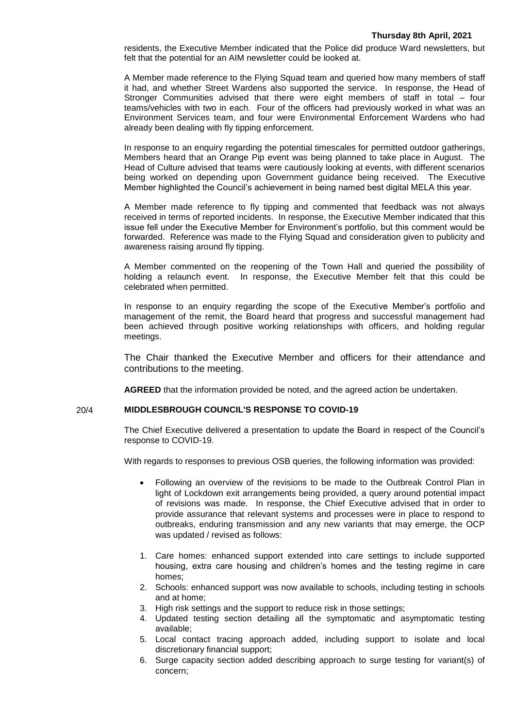residents, the Executive Member indicated that the Police did produce Ward newsletters, but felt that the potential for an AIM newsletter could be looked at.

A Member made reference to the Flying Squad team and queried how many members of staff it had, and whether Street Wardens also supported the service. In response, the Head of Stronger Communities advised that there were eight members of staff in total – four teams/vehicles with two in each. Four of the officers had previously worked in what was an Environment Services team, and four were Environmental Enforcement Wardens who had already been dealing with fly tipping enforcement.

In response to an enquiry regarding the potential timescales for permitted outdoor gatherings, Members heard that an Orange Pip event was being planned to take place in August. The Head of Culture advised that teams were cautiously looking at events, with different scenarios being worked on depending upon Government guidance being received. The Executive Member highlighted the Council's achievement in being named best digital MELA this year.

A Member made reference to fly tipping and commented that feedback was not always received in terms of reported incidents. In response, the Executive Member indicated that this issue fell under the Executive Member for Environment's portfolio, but this comment would be forwarded. Reference was made to the Flying Squad and consideration given to publicity and awareness raising around fly tipping.

A Member commented on the reopening of the Town Hall and queried the possibility of holding a relaunch event. In response, the Executive Member felt that this could be celebrated when permitted.

In response to an enquiry regarding the scope of the Executive Member's portfolio and management of the remit, the Board heard that progress and successful management had been achieved through positive working relationships with officers, and holding regular meetings.

The Chair thanked the Executive Member and officers for their attendance and contributions to the meeting.

**AGREED** that the information provided be noted, and the agreed action be undertaken.

## 20/4 **MIDDLESBROUGH COUNCIL'S RESPONSE TO COVID-19**

The Chief Executive delivered a presentation to update the Board in respect of the Council's response to COVID-19.

With regards to responses to previous OSB queries, the following information was provided:

- Following an overview of the revisions to be made to the Outbreak Control Plan in light of Lockdown exit arrangements being provided, a query around potential impact of revisions was made. In response, the Chief Executive advised that in order to provide assurance that relevant systems and processes were in place to respond to outbreaks, enduring transmission and any new variants that may emerge, the OCP was updated / revised as follows:
- 1. Care homes: enhanced support extended into care settings to include supported housing, extra care housing and children's homes and the testing regime in care homes;
- 2. Schools: enhanced support was now available to schools, including testing in schools and at home;
- 3. High risk settings and the support to reduce risk in those settings;
- 4. Updated testing section detailing all the symptomatic and asymptomatic testing available;
- 5. Local contact tracing approach added, including support to isolate and local discretionary financial support;
- 6. Surge capacity section added describing approach to surge testing for variant(s) of concern;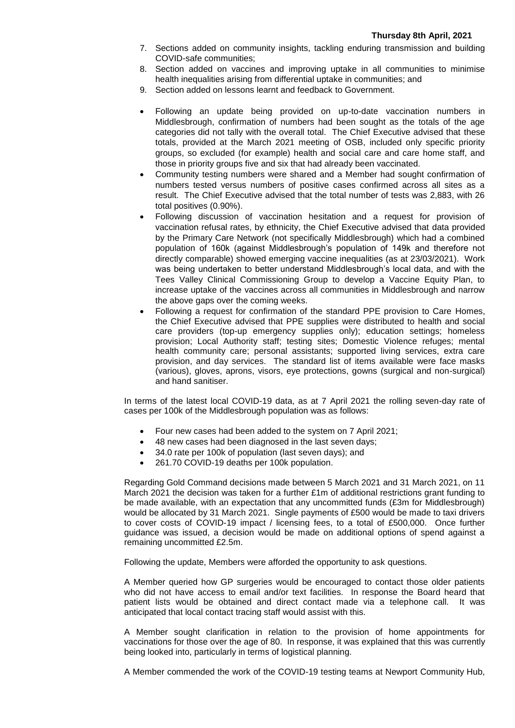- 7. Sections added on community insights, tackling enduring transmission and building COVID-safe communities;
- 8. Section added on vaccines and improving uptake in all communities to minimise health inequalities arising from differential uptake in communities; and
- 9. Section added on lessons learnt and feedback to Government.
- Following an update being provided on up-to-date vaccination numbers in Middlesbrough, confirmation of numbers had been sought as the totals of the age categories did not tally with the overall total. The Chief Executive advised that these totals, provided at the March 2021 meeting of OSB, included only specific priority groups, so excluded (for example) health and social care and care home staff, and those in priority groups five and six that had already been vaccinated.
- Community testing numbers were shared and a Member had sought confirmation of numbers tested versus numbers of positive cases confirmed across all sites as a result. The Chief Executive advised that the total number of tests was 2,883, with 26 total positives (0.90%).
- Following discussion of vaccination hesitation and a request for provision of vaccination refusal rates, by ethnicity, the Chief Executive advised that data provided by the Primary Care Network (not specifically Middlesbrough) which had a combined population of 160k (against Middlesbrough's population of 149k and therefore not directly comparable) showed emerging vaccine inequalities (as at 23/03/2021). Work was being undertaken to better understand Middlesbrough's local data, and with the Tees Valley Clinical Commissioning Group to develop a Vaccine Equity Plan, to increase uptake of the vaccines across all communities in Middlesbrough and narrow the above gaps over the coming weeks.
- Following a request for confirmation of the standard PPE provision to Care Homes, the Chief Executive advised that PPE supplies were distributed to health and social care providers (top-up emergency supplies only); education settings; homeless provision; Local Authority staff; testing sites; Domestic Violence refuges; mental health community care; personal assistants; supported living services, extra care provision, and day services. The standard list of items available were face masks (various), gloves, aprons, visors, eye protections, gowns (surgical and non-surgical) and hand sanitiser.

In terms of the latest local COVID-19 data, as at 7 April 2021 the rolling seven-day rate of cases per 100k of the Middlesbrough population was as follows:

- Four new cases had been added to the system on 7 April 2021;
- 48 new cases had been diagnosed in the last seven days;
- 34.0 rate per 100k of population (last seven days); and
- 261.70 COVID-19 deaths per 100k population.

Regarding Gold Command decisions made between 5 March 2021 and 31 March 2021, on 11 March 2021 the decision was taken for a further £1m of additional restrictions grant funding to be made available, with an expectation that any uncommitted funds (£3m for Middlesbrough) would be allocated by 31 March 2021. Single payments of £500 would be made to taxi drivers to cover costs of COVID-19 impact / licensing fees, to a total of £500,000. Once further guidance was issued, a decision would be made on additional options of spend against a remaining uncommitted £2.5m.

Following the update, Members were afforded the opportunity to ask questions.

A Member queried how GP surgeries would be encouraged to contact those older patients who did not have access to email and/or text facilities. In response the Board heard that patient lists would be obtained and direct contact made via a telephone call. It was anticipated that local contact tracing staff would assist with this.

A Member sought clarification in relation to the provision of home appointments for vaccinations for those over the age of 80. In response, it was explained that this was currently being looked into, particularly in terms of logistical planning.

A Member commended the work of the COVID-19 testing teams at Newport Community Hub,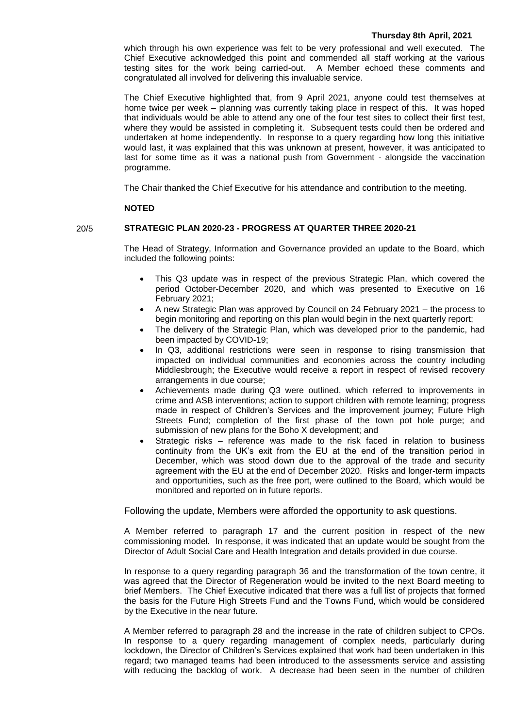#### **Thursday 8th April, 2021**

which through his own experience was felt to be very professional and well executed. The Chief Executive acknowledged this point and commended all staff working at the various testing sites for the work being carried-out. A Member echoed these comments and congratulated all involved for delivering this invaluable service.

The Chief Executive highlighted that, from 9 April 2021, anyone could test themselves at home twice per week – planning was currently taking place in respect of this. It was hoped that individuals would be able to attend any one of the four test sites to collect their first test, where they would be assisted in completing it. Subsequent tests could then be ordered and undertaken at home independently. In response to a query regarding how long this initiative would last, it was explained that this was unknown at present, however, it was anticipated to last for some time as it was a national push from Government - alongside the vaccination programme.

The Chair thanked the Chief Executive for his attendance and contribution to the meeting.

#### **NOTED**

# 20/5 **STRATEGIC PLAN 2020-23 - PROGRESS AT QUARTER THREE 2020-21**

The Head of Strategy, Information and Governance provided an update to the Board, which included the following points:

- This Q3 update was in respect of the previous Strategic Plan, which covered the period October-December 2020, and which was presented to Executive on 16 February 2021;
- A new Strategic Plan was approved by Council on 24 February 2021 the process to begin monitoring and reporting on this plan would begin in the next quarterly report;
- The delivery of the Strategic Plan, which was developed prior to the pandemic, had been impacted by COVID-19;
- In Q3, additional restrictions were seen in response to rising transmission that impacted on individual communities and economies across the country including Middlesbrough; the Executive would receive a report in respect of revised recovery arrangements in due course;
- Achievements made during Q3 were outlined, which referred to improvements in crime and ASB interventions; action to support children with remote learning; progress made in respect of Children's Services and the improvement journey; Future High Streets Fund; completion of the first phase of the town pot hole purge; and submission of new plans for the Boho X development; and
- Strategic risks reference was made to the risk faced in relation to business continuity from the UK's exit from the EU at the end of the transition period in December, which was stood down due to the approval of the trade and security agreement with the EU at the end of December 2020. Risks and longer-term impacts and opportunities, such as the free port, were outlined to the Board, which would be monitored and reported on in future reports.

Following the update, Members were afforded the opportunity to ask questions.

A Member referred to paragraph 17 and the current position in respect of the new commissioning model. In response, it was indicated that an update would be sought from the Director of Adult Social Care and Health Integration and details provided in due course.

In response to a query regarding paragraph 36 and the transformation of the town centre, it was agreed that the Director of Regeneration would be invited to the next Board meeting to brief Members. The Chief Executive indicated that there was a full list of projects that formed the basis for the Future High Streets Fund and the Towns Fund, which would be considered by the Executive in the near future.

A Member referred to paragraph 28 and the increase in the rate of children subject to CPOs. In response to a query regarding management of complex needs, particularly during lockdown, the Director of Children's Services explained that work had been undertaken in this regard; two managed teams had been introduced to the assessments service and assisting with reducing the backlog of work. A decrease had been seen in the number of children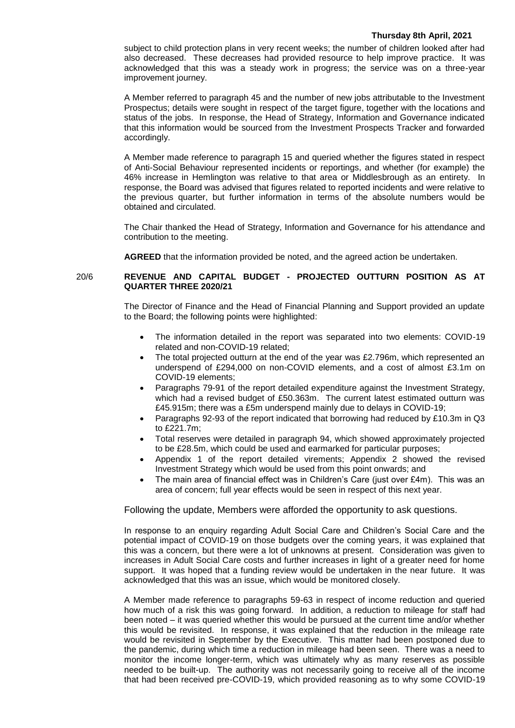#### **Thursday 8th April, 2021**

subject to child protection plans in very recent weeks; the number of children looked after had also decreased. These decreases had provided resource to help improve practice. It was acknowledged that this was a steady work in progress; the service was on a three-year improvement journey.

A Member referred to paragraph 45 and the number of new jobs attributable to the Investment Prospectus; details were sought in respect of the target figure, together with the locations and status of the jobs. In response, the Head of Strategy, Information and Governance indicated that this information would be sourced from the Investment Prospects Tracker and forwarded accordingly.

A Member made reference to paragraph 15 and queried whether the figures stated in respect of Anti-Social Behaviour represented incidents or reportings, and whether (for example) the 46% increase in Hemlington was relative to that area or Middlesbrough as an entirety. In response, the Board was advised that figures related to reported incidents and were relative to the previous quarter, but further information in terms of the absolute numbers would be obtained and circulated.

The Chair thanked the Head of Strategy, Information and Governance for his attendance and contribution to the meeting.

**AGREED** that the information provided be noted, and the agreed action be undertaken.

# 20/6 **REVENUE AND CAPITAL BUDGET - PROJECTED OUTTURN POSITION AS AT QUARTER THREE 2020/21**

The Director of Finance and the Head of Financial Planning and Support provided an update to the Board; the following points were highlighted:

- The information detailed in the report was separated into two elements: COVID-19 related and non-COVID-19 related;
- The total projected outturn at the end of the year was £2.796m, which represented an underspend of £294,000 on non-COVID elements, and a cost of almost £3.1m on COVID-19 elements;
- Paragraphs 79-91 of the report detailed expenditure against the Investment Strategy, which had a revised budget of £50.363m. The current latest estimated outturn was £45.915m; there was a £5m underspend mainly due to delays in COVID-19;
- Paragraphs 92-93 of the report indicated that borrowing had reduced by £10.3m in Q3 to £221.7m;
- Total reserves were detailed in paragraph 94, which showed approximately projected to be £28.5m, which could be used and earmarked for particular purposes;
- Appendix 1 of the report detailed virements; Appendix 2 showed the revised Investment Strategy which would be used from this point onwards; and
- The main area of financial effect was in Children's Care (just over £4m). This was an area of concern; full year effects would be seen in respect of this next year.

Following the update, Members were afforded the opportunity to ask questions.

In response to an enquiry regarding Adult Social Care and Children's Social Care and the potential impact of COVID-19 on those budgets over the coming years, it was explained that this was a concern, but there were a lot of unknowns at present. Consideration was given to increases in Adult Social Care costs and further increases in light of a greater need for home support. It was hoped that a funding review would be undertaken in the near future. It was acknowledged that this was an issue, which would be monitored closely.

A Member made reference to paragraphs 59-63 in respect of income reduction and queried how much of a risk this was going forward. In addition, a reduction to mileage for staff had been noted – it was queried whether this would be pursued at the current time and/or whether this would be revisited. In response, it was explained that the reduction in the mileage rate would be revisited in September by the Executive. This matter had been postponed due to the pandemic, during which time a reduction in mileage had been seen. There was a need to monitor the income longer-term, which was ultimately why as many reserves as possible needed to be built-up. The authority was not necessarily going to receive all of the income that had been received pre-COVID-19, which provided reasoning as to why some COVID-19